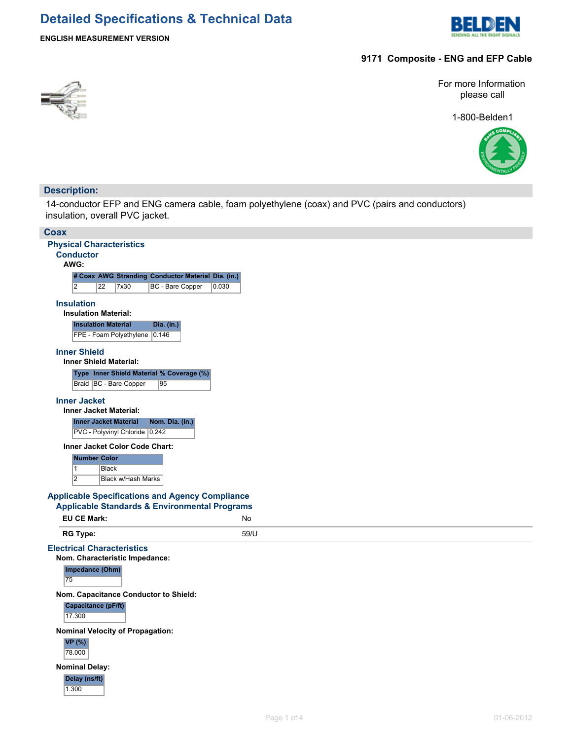

### **ENGLISH MEASUREMENT VERSION**

### **9171 Composite - ENG and EFP Cable**



For more Information please call

1-800-Belden1



### **Description:**

14-conductor EFP and ENG camera cable, foam polyethylene (coax) and PVC (pairs and conductors) insulation, overall PVC jacket.

| <b>Conductor</b><br>AWG:<br># Coax AWG Stranding Conductor Material Dia. (in.)<br>$\overline{2}$<br>$\overline{22}$<br>7x30<br><b>BC</b> - Bare Copper<br>0.030<br><b>Insulation</b><br><b>Insulation Material:</b><br><b>Insulation Material</b><br>Dia. (in.)<br>FPE - Foam Polyethylene 0.146<br><b>Inner Shield</b><br><b>Inner Shield Material:</b><br>Type Inner Shield Material % Coverage (%)<br>Braid   BC - Bare Copper<br>95<br><b>Inner Jacket</b><br><b>Inner Jacket Material:</b><br><b>Inner Jacket Material</b><br>Nom. Dia. (in.)<br>PVC - Polyvinyl Chloride 0.242<br><b>Inner Jacket Color Code Chart:</b><br>Number Color<br>$\overline{1}$<br><b>Black</b><br>$\overline{2}$<br>Black w/Hash Marks<br><b>Applicable Standards &amp; Environmental Programs</b><br><b>EU CE Mark:</b><br><b>No</b><br><b>RG Type:</b><br>59/U<br>Nom. Characteristic Impedance:<br>Impedance (Ohm)<br>75<br>Nom. Capacitance Conductor to Shield:<br>Capacitance (pF/ft)<br>17.300<br><b>Nominal Velocity of Propagation:</b><br><b>VP</b> (%)<br>78.000<br><b>Nominal Delay:</b> | <b>Physical Characteristics</b><br><b>Applicable Specifications and Agency Compliance</b><br><b>Electrical Characteristics</b> |  |
|---------------------------------------------------------------------------------------------------------------------------------------------------------------------------------------------------------------------------------------------------------------------------------------------------------------------------------------------------------------------------------------------------------------------------------------------------------------------------------------------------------------------------------------------------------------------------------------------------------------------------------------------------------------------------------------------------------------------------------------------------------------------------------------------------------------------------------------------------------------------------------------------------------------------------------------------------------------------------------------------------------------------------------------------------------------------------------------|--------------------------------------------------------------------------------------------------------------------------------|--|
|                                                                                                                                                                                                                                                                                                                                                                                                                                                                                                                                                                                                                                                                                                                                                                                                                                                                                                                                                                                                                                                                                       |                                                                                                                                |  |
|                                                                                                                                                                                                                                                                                                                                                                                                                                                                                                                                                                                                                                                                                                                                                                                                                                                                                                                                                                                                                                                                                       |                                                                                                                                |  |
|                                                                                                                                                                                                                                                                                                                                                                                                                                                                                                                                                                                                                                                                                                                                                                                                                                                                                                                                                                                                                                                                                       |                                                                                                                                |  |
|                                                                                                                                                                                                                                                                                                                                                                                                                                                                                                                                                                                                                                                                                                                                                                                                                                                                                                                                                                                                                                                                                       |                                                                                                                                |  |
|                                                                                                                                                                                                                                                                                                                                                                                                                                                                                                                                                                                                                                                                                                                                                                                                                                                                                                                                                                                                                                                                                       |                                                                                                                                |  |
|                                                                                                                                                                                                                                                                                                                                                                                                                                                                                                                                                                                                                                                                                                                                                                                                                                                                                                                                                                                                                                                                                       |                                                                                                                                |  |
|                                                                                                                                                                                                                                                                                                                                                                                                                                                                                                                                                                                                                                                                                                                                                                                                                                                                                                                                                                                                                                                                                       |                                                                                                                                |  |
|                                                                                                                                                                                                                                                                                                                                                                                                                                                                                                                                                                                                                                                                                                                                                                                                                                                                                                                                                                                                                                                                                       |                                                                                                                                |  |
|                                                                                                                                                                                                                                                                                                                                                                                                                                                                                                                                                                                                                                                                                                                                                                                                                                                                                                                                                                                                                                                                                       |                                                                                                                                |  |
|                                                                                                                                                                                                                                                                                                                                                                                                                                                                                                                                                                                                                                                                                                                                                                                                                                                                                                                                                                                                                                                                                       |                                                                                                                                |  |
|                                                                                                                                                                                                                                                                                                                                                                                                                                                                                                                                                                                                                                                                                                                                                                                                                                                                                                                                                                                                                                                                                       |                                                                                                                                |  |
|                                                                                                                                                                                                                                                                                                                                                                                                                                                                                                                                                                                                                                                                                                                                                                                                                                                                                                                                                                                                                                                                                       |                                                                                                                                |  |
|                                                                                                                                                                                                                                                                                                                                                                                                                                                                                                                                                                                                                                                                                                                                                                                                                                                                                                                                                                                                                                                                                       |                                                                                                                                |  |
|                                                                                                                                                                                                                                                                                                                                                                                                                                                                                                                                                                                                                                                                                                                                                                                                                                                                                                                                                                                                                                                                                       |                                                                                                                                |  |
|                                                                                                                                                                                                                                                                                                                                                                                                                                                                                                                                                                                                                                                                                                                                                                                                                                                                                                                                                                                                                                                                                       |                                                                                                                                |  |
|                                                                                                                                                                                                                                                                                                                                                                                                                                                                                                                                                                                                                                                                                                                                                                                                                                                                                                                                                                                                                                                                                       |                                                                                                                                |  |
|                                                                                                                                                                                                                                                                                                                                                                                                                                                                                                                                                                                                                                                                                                                                                                                                                                                                                                                                                                                                                                                                                       |                                                                                                                                |  |
|                                                                                                                                                                                                                                                                                                                                                                                                                                                                                                                                                                                                                                                                                                                                                                                                                                                                                                                                                                                                                                                                                       |                                                                                                                                |  |
|                                                                                                                                                                                                                                                                                                                                                                                                                                                                                                                                                                                                                                                                                                                                                                                                                                                                                                                                                                                                                                                                                       |                                                                                                                                |  |
|                                                                                                                                                                                                                                                                                                                                                                                                                                                                                                                                                                                                                                                                                                                                                                                                                                                                                                                                                                                                                                                                                       |                                                                                                                                |  |
|                                                                                                                                                                                                                                                                                                                                                                                                                                                                                                                                                                                                                                                                                                                                                                                                                                                                                                                                                                                                                                                                                       |                                                                                                                                |  |
|                                                                                                                                                                                                                                                                                                                                                                                                                                                                                                                                                                                                                                                                                                                                                                                                                                                                                                                                                                                                                                                                                       |                                                                                                                                |  |
|                                                                                                                                                                                                                                                                                                                                                                                                                                                                                                                                                                                                                                                                                                                                                                                                                                                                                                                                                                                                                                                                                       |                                                                                                                                |  |
|                                                                                                                                                                                                                                                                                                                                                                                                                                                                                                                                                                                                                                                                                                                                                                                                                                                                                                                                                                                                                                                                                       |                                                                                                                                |  |
|                                                                                                                                                                                                                                                                                                                                                                                                                                                                                                                                                                                                                                                                                                                                                                                                                                                                                                                                                                                                                                                                                       |                                                                                                                                |  |
|                                                                                                                                                                                                                                                                                                                                                                                                                                                                                                                                                                                                                                                                                                                                                                                                                                                                                                                                                                                                                                                                                       |                                                                                                                                |  |
|                                                                                                                                                                                                                                                                                                                                                                                                                                                                                                                                                                                                                                                                                                                                                                                                                                                                                                                                                                                                                                                                                       |                                                                                                                                |  |
|                                                                                                                                                                                                                                                                                                                                                                                                                                                                                                                                                                                                                                                                                                                                                                                                                                                                                                                                                                                                                                                                                       |                                                                                                                                |  |
|                                                                                                                                                                                                                                                                                                                                                                                                                                                                                                                                                                                                                                                                                                                                                                                                                                                                                                                                                                                                                                                                                       |                                                                                                                                |  |
|                                                                                                                                                                                                                                                                                                                                                                                                                                                                                                                                                                                                                                                                                                                                                                                                                                                                                                                                                                                                                                                                                       |                                                                                                                                |  |
|                                                                                                                                                                                                                                                                                                                                                                                                                                                                                                                                                                                                                                                                                                                                                                                                                                                                                                                                                                                                                                                                                       |                                                                                                                                |  |
|                                                                                                                                                                                                                                                                                                                                                                                                                                                                                                                                                                                                                                                                                                                                                                                                                                                                                                                                                                                                                                                                                       |                                                                                                                                |  |
|                                                                                                                                                                                                                                                                                                                                                                                                                                                                                                                                                                                                                                                                                                                                                                                                                                                                                                                                                                                                                                                                                       |                                                                                                                                |  |
|                                                                                                                                                                                                                                                                                                                                                                                                                                                                                                                                                                                                                                                                                                                                                                                                                                                                                                                                                                                                                                                                                       |                                                                                                                                |  |
|                                                                                                                                                                                                                                                                                                                                                                                                                                                                                                                                                                                                                                                                                                                                                                                                                                                                                                                                                                                                                                                                                       |                                                                                                                                |  |
|                                                                                                                                                                                                                                                                                                                                                                                                                                                                                                                                                                                                                                                                                                                                                                                                                                                                                                                                                                                                                                                                                       |                                                                                                                                |  |
|                                                                                                                                                                                                                                                                                                                                                                                                                                                                                                                                                                                                                                                                                                                                                                                                                                                                                                                                                                                                                                                                                       |                                                                                                                                |  |
|                                                                                                                                                                                                                                                                                                                                                                                                                                                                                                                                                                                                                                                                                                                                                                                                                                                                                                                                                                                                                                                                                       |                                                                                                                                |  |
| Delay (ns/ft)                                                                                                                                                                                                                                                                                                                                                                                                                                                                                                                                                                                                                                                                                                                                                                                                                                                                                                                                                                                                                                                                         |                                                                                                                                |  |
| 1.300                                                                                                                                                                                                                                                                                                                                                                                                                                                                                                                                                                                                                                                                                                                                                                                                                                                                                                                                                                                                                                                                                 |                                                                                                                                |  |
|                                                                                                                                                                                                                                                                                                                                                                                                                                                                                                                                                                                                                                                                                                                                                                                                                                                                                                                                                                                                                                                                                       |                                                                                                                                |  |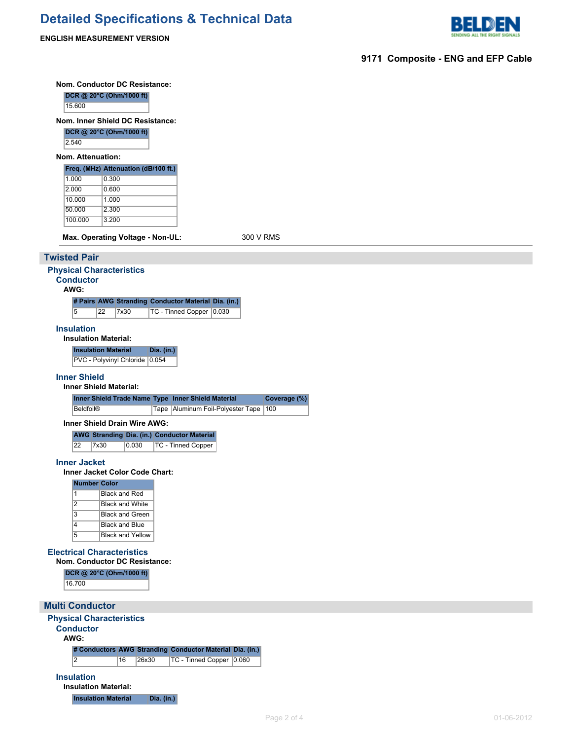

**ENGLISH MEASUREMENT VERSION**

|                        |                      | <b>Nom. Conductor DC Resistance:</b>                         |                   |                                                                                 |                                           |              |  |  |  |
|------------------------|----------------------|--------------------------------------------------------------|-------------------|---------------------------------------------------------------------------------|-------------------------------------------|--------------|--|--|--|
|                        |                      | DCR @ 20°C (Ohm/1000 ft)                                     |                   |                                                                                 |                                           |              |  |  |  |
|                        | 15.600               | Nom. Inner Shield DC Resistance:                             |                   |                                                                                 |                                           |              |  |  |  |
|                        |                      | DCR @ 20°C (Ohm/1000 ft)                                     |                   |                                                                                 |                                           |              |  |  |  |
| 2.540                  |                      |                                                              |                   |                                                                                 |                                           |              |  |  |  |
|                        | Nom. Attenuation:    |                                                              |                   |                                                                                 |                                           |              |  |  |  |
|                        |                      | Freq. (MHz) Attenuation (dB/100 ft.)                         |                   |                                                                                 |                                           |              |  |  |  |
| 1.000<br>2.000         |                      | 0.300<br>0.600                                               |                   |                                                                                 |                                           |              |  |  |  |
|                        | 10.000               | 1.000                                                        |                   |                                                                                 |                                           |              |  |  |  |
|                        | 50.000               | 2.300                                                        |                   |                                                                                 |                                           |              |  |  |  |
|                        | 100.000              | 3.200                                                        |                   |                                                                                 |                                           |              |  |  |  |
|                        |                      | Max. Operating Voltage - Non-UL:                             |                   |                                                                                 |                                           | 300 V RMS    |  |  |  |
| <b>Twisted Pair</b>    |                      |                                                              |                   |                                                                                 |                                           |              |  |  |  |
|                        |                      | <b>Physical Characteristics</b>                              |                   |                                                                                 |                                           |              |  |  |  |
| AWG:                   | <b>Conductor</b>     |                                                              |                   |                                                                                 |                                           |              |  |  |  |
|                        |                      |                                                              |                   | # Pairs AWG Stranding Conductor Material Dia. (in.)                             |                                           |              |  |  |  |
|                        | $\overline{5}$<br>22 | 7x30                                                         |                   | TC - Tinned Copper 0.030                                                        |                                           |              |  |  |  |
|                        | <b>Insulation</b>    |                                                              |                   |                                                                                 |                                           |              |  |  |  |
|                        |                      | <b>Insulation Material:</b>                                  |                   |                                                                                 |                                           |              |  |  |  |
|                        |                      | <b>Insulation Material</b><br>PVC - Polyvinyl Chloride 0.054 | Dia. (in.)        |                                                                                 |                                           |              |  |  |  |
|                        | <b>Inner Shield</b>  |                                                              |                   |                                                                                 |                                           |              |  |  |  |
|                        |                      | <b>Inner Shield Material:</b>                                |                   |                                                                                 |                                           |              |  |  |  |
|                        |                      |                                                              |                   | Inner Shield Trade Name Type Inner Shield Material                              |                                           | Coverage (%) |  |  |  |
|                        | <b>Beldfoil®</b>     |                                                              |                   |                                                                                 | Tape   Aluminum Foil-Polyester Tape   100 |              |  |  |  |
|                        |                      | Inner Shield Drain Wire AWG:                                 |                   |                                                                                 |                                           |              |  |  |  |
|                        | 22<br>7x30           | 0.030                                                        |                   | <b>AWG Stranding Dia. (in.) Conductor Material</b><br><b>TC - Tinned Copper</b> |                                           |              |  |  |  |
|                        |                      |                                                              |                   |                                                                                 |                                           |              |  |  |  |
|                        | <b>Inner Jacket</b>  | Inner Jacket Color Code Chart:                               |                   |                                                                                 |                                           |              |  |  |  |
|                        | <b>Number Color</b>  |                                                              |                   |                                                                                 |                                           |              |  |  |  |
|                        | 1                    | <b>Black and Red</b>                                         |                   |                                                                                 |                                           |              |  |  |  |
|                        | $\overline{2}$<br>3  | <b>Black and White</b>                                       |                   |                                                                                 |                                           |              |  |  |  |
|                        | $\overline{4}$       | <b>Black and Green</b><br><b>Black and Blue</b>              |                   |                                                                                 |                                           |              |  |  |  |
|                        | $\overline{5}$       | <b>Black and Yellow</b>                                      |                   |                                                                                 |                                           |              |  |  |  |
|                        |                      | <b>Electrical Characteristics</b>                            |                   |                                                                                 |                                           |              |  |  |  |
|                        |                      | Nom. Conductor DC Resistance:                                |                   |                                                                                 |                                           |              |  |  |  |
|                        |                      | DCR @ 20°C (Ohm/1000 ft)                                     |                   |                                                                                 |                                           |              |  |  |  |
|                        | 16.700               |                                                              |                   |                                                                                 |                                           |              |  |  |  |
| <b>Multi Conductor</b> |                      |                                                              |                   |                                                                                 |                                           |              |  |  |  |
|                        |                      | <b>Physical Characteristics</b>                              |                   |                                                                                 |                                           |              |  |  |  |
|                        | <b>Conductor</b>     |                                                              |                   |                                                                                 |                                           |              |  |  |  |
| AWG:                   |                      |                                                              |                   |                                                                                 |                                           |              |  |  |  |
|                        |                      |                                                              |                   | # Conductors AWG Stranding Conductor Material Dia. (in.)                        |                                           |              |  |  |  |
|                        | 2                    | 16                                                           | 26x30             | TC - Tinned Copper 0.060                                                        |                                           |              |  |  |  |
|                        | <b>Insulation</b>    | <b>Insulation Material:</b>                                  |                   |                                                                                 |                                           |              |  |  |  |
|                        |                      | <b>Insulation Material</b>                                   | <b>Dia.</b> (in.) |                                                                                 |                                           |              |  |  |  |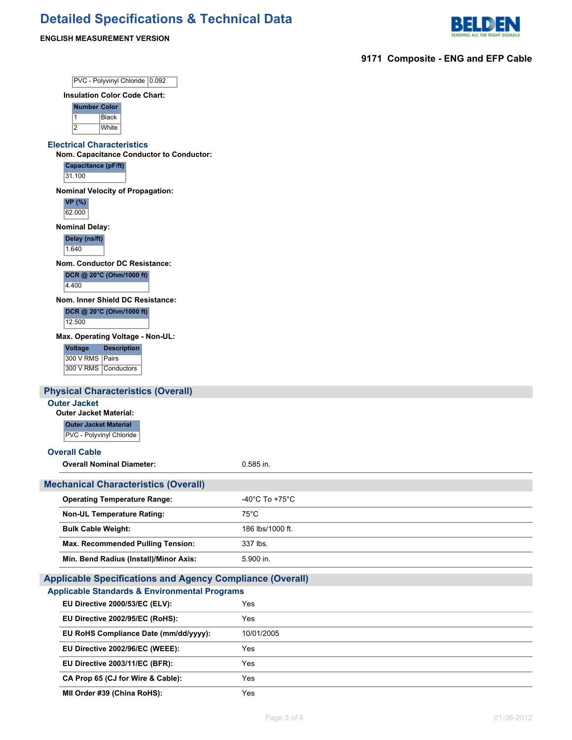

### **ENGLISH MEASUREMENT VERSION**

**9171 Composite - ENG and EFP Cable**

| PVC - Polyvinyl Chloride 0.092                                                     |                  |
|------------------------------------------------------------------------------------|------------------|
| <b>Insulation Color Code Chart:</b>                                                |                  |
| <b>Number Color</b><br>$\mathbf{1}$<br><b>Black</b>                                |                  |
| $\overline{2}$<br>White                                                            |                  |
| <b>Electrical Characteristics</b>                                                  |                  |
| Nom. Capacitance Conductor to Conductor:                                           |                  |
| Capacitance (pF/ft)<br>31.100                                                      |                  |
| <b>Nominal Velocity of Propagation:</b>                                            |                  |
| <b>VP</b> (%)<br>62.000                                                            |                  |
| <b>Nominal Delay:</b>                                                              |                  |
| Delay (ns/ft)<br>1.640                                                             |                  |
| Nom. Conductor DC Resistance:                                                      |                  |
| DCR @ 20°C (Ohm/1000 ft)                                                           |                  |
| 4.400                                                                              |                  |
| Nom. Inner Shield DC Resistance:<br>DCR @ 20°C (Ohm/1000 ft)                       |                  |
| 12.500                                                                             |                  |
| Max. Operating Voltage - Non-UL:                                                   |                  |
| <b>Voltage</b><br><b>Description</b>                                               |                  |
| 300 V RMS   Pairs                                                                  |                  |
| 300 V RMS Conductors                                                               |                  |
| <b>Physical Characteristics (Overall)</b>                                          |                  |
| <b>Outer Jacket</b>                                                                |                  |
| <b>Outer Jacket Material:</b><br><b>Outer Jacket Material</b>                      |                  |
| PVC - Polyvinyl Chloride                                                           |                  |
| <b>Overall Cable</b>                                                               |                  |
| <b>Overall Nominal Diameter:</b>                                                   | 0.585 in.        |
|                                                                                    |                  |
| <b>Mechanical Characteristics (Overall)</b><br><b>Operating Temperature Range:</b> |                  |
|                                                                                    | -40°C To +75°C   |
| <b>Non-UL Temperature Rating:</b>                                                  | $75^{\circ}$ C   |
| <b>Bulk Cable Weight:</b>                                                          | 186 lbs/1000 ft. |
| <b>Max. Recommended Pulling Tension:</b>                                           | 337 lbs.         |
| Min. Bend Radius (Install)/Minor Axis:                                             | 5.900 in.        |
| <b>Applicable Specifications and Agency Compliance (Overall)</b>                   |                  |
|                                                                                    |                  |
| <b>Applicable Standards &amp; Environmental Programs</b>                           |                  |
| EU Directive 2000/53/EC (ELV):                                                     | Yes              |
| EU Directive 2002/95/EC (RoHS):                                                    | Yes              |
| EU RoHS Compliance Date (mm/dd/yyyy):                                              | 10/01/2005       |
| EU Directive 2002/96/EC (WEEE):                                                    | Yes              |
| EU Directive 2003/11/EC (BFR):                                                     | Yes              |

**MII Order #39 (China RoHS):** Yes